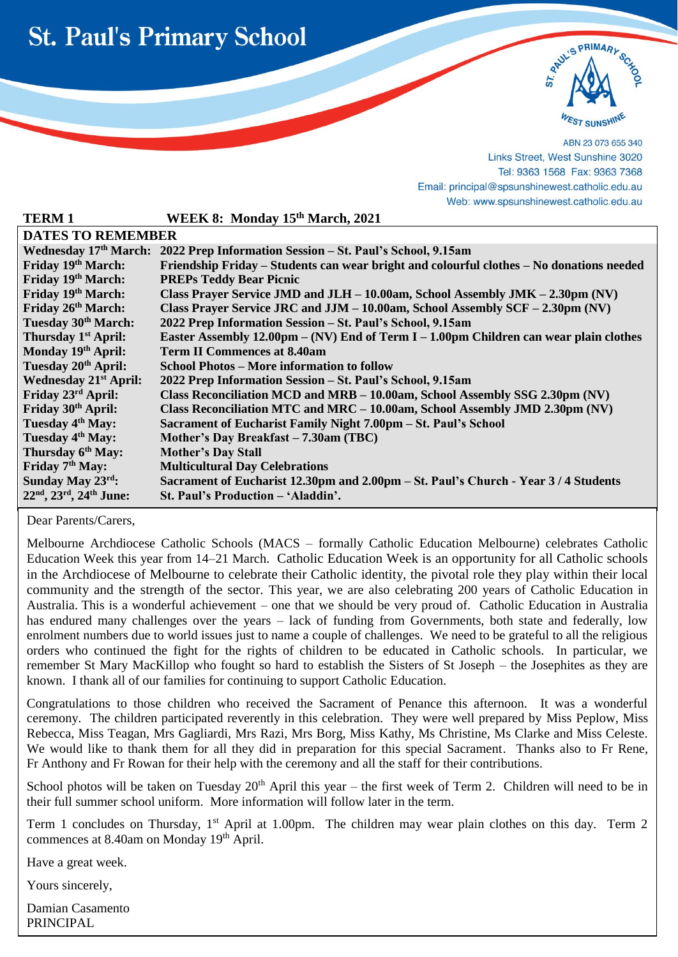



ABN 23 073 655 340 Links Street, West Sunshine 3020 Tel: 9363 1568 Fax: 9363 7368 Email: principal@spsunshinewest.catholic.edu.au Web: www.spsunshinewest.catholic.edu.au

| <b>TERM1</b>                    | WEEK 8: Monday 15th March, 2021                                                                        |
|---------------------------------|--------------------------------------------------------------------------------------------------------|
| <b>DATES TO REMEMBER</b>        |                                                                                                        |
|                                 | Wednesday 17th March: 2022 Prep Information Session – St. Paul's School, 9.15am                        |
| Friday 19th March:              | Friendship Friday – Students can wear bright and colourful clothes – No donations needed               |
| Friday 19th March:              | <b>PREPs Teddy Bear Picnic</b>                                                                         |
| Friday 19th March:              | Class Prayer Service JMD and JLH $-$ 10.00am, School Assembly JMK $-$ 2.30pm (NV)                      |
| Friday 26th March:              | Class Prayer Service JRC and JJM – 10.00am, School Assembly SCF – 2.30pm (NV)                          |
| Tuesday 30 <sup>th</sup> March: | 2022 Prep Information Session - St. Paul's School, 9.15am                                              |
| Thursday 1 <sup>st</sup> April: | Easter Assembly $12.00 \text{pm} - (N\text{V})$ End of Term I – 1.00pm Children can wear plain clothes |
| Monday 19th April:              | <b>Term II Commences at 8.40am</b>                                                                     |
| Tuesday 20 <sup>th</sup> April: | <b>School Photos – More information to follow</b>                                                      |
| <b>Wednesday 21st April:</b>    | 2022 Prep Information Session – St. Paul's School, 9.15am                                              |
| Friday 23 <sup>rd</sup> April:  | Class Reconciliation MCD and MRB - 10.00am, School Assembly SSG 2.30pm (NV)                            |
| Friday 30th April:              | Class Reconciliation MTC and MRC $-10.00$ am, School Assembly JMD 2.30pm (NV)                          |
| Tuesday 4 <sup>th</sup> May:    | Sacrament of Eucharist Family Night 7.00pm – St. Paul's School                                         |
| Tuesday 4 <sup>th</sup> May:    | Mother's Day Breakfast - 7.30am (TBC)                                                                  |
| Thursday 6 <sup>th</sup> May:   | <b>Mother's Day Stall</b>                                                                              |
| Friday 7 <sup>th</sup> May:     | <b>Multicultural Day Celebrations</b>                                                                  |
| Sunday May 23rd:                | Sacrament of Eucharist 12.30pm and 2.00pm – St. Paul's Church - Year 3/4 Students                      |
| 22nd, 23rd, 24th June:          | St. Paul's Production - 'Aladdin'.                                                                     |

Dear Parents/Carers,

l

Melbourne Archdiocese Catholic Schools (MACS – formally Catholic Education Melbourne) celebrates Catholic Education Week this year from 14–21 March. Catholic Education Week is an opportunity for all Catholic schools in the Archdiocese of Melbourne to celebrate their Catholic identity, the pivotal role they play within their local community and the strength of the sector. This year, we are also celebrating 200 years of Catholic Education in Australia. This is a wonderful achievement – one that we should be very proud of. Catholic Education in Australia has endured many challenges over the years – lack of funding from Governments, both state and federally, low enrolment numbers due to world issues just to name a couple of challenges. We need to be grateful to all the religious orders who continued the fight for the rights of children to be educated in Catholic schools. In particular, we remember St Mary MacKillop who fought so hard to establish the Sisters of St Joseph – the Josephites as they are known. I thank all of our families for continuing to support Catholic Education.

Congratulations to those children who received the Sacrament of Penance this afternoon. It was a wonderful ceremony. The children participated reverently in this celebration. They were well prepared by Miss Peplow, Miss Rebecca, Miss Teagan, Mrs Gagliardi, Mrs Razi, Mrs Borg, Miss Kathy, Ms Christine, Ms Clarke and Miss Celeste. We would like to thank them for all they did in preparation for this special Sacrament. Thanks also to Fr Rene, Fr Anthony and Fr Rowan for their help with the ceremony and all the staff for their contributions.

School photos will be taken on Tuesday  $20<sup>th</sup>$  April this year – the first week of Term 2. Children will need to be in their full summer school uniform. More information will follow later in the term.

Term 1 concludes on Thursday, 1<sup>st</sup> April at 1.00pm. The children may wear plain clothes on this day. Term 2 commences at 8.40am on Monday 19<sup>th</sup> April.

Have a great week.

Yours sincerely,

Damian Casamento PRINCIPAL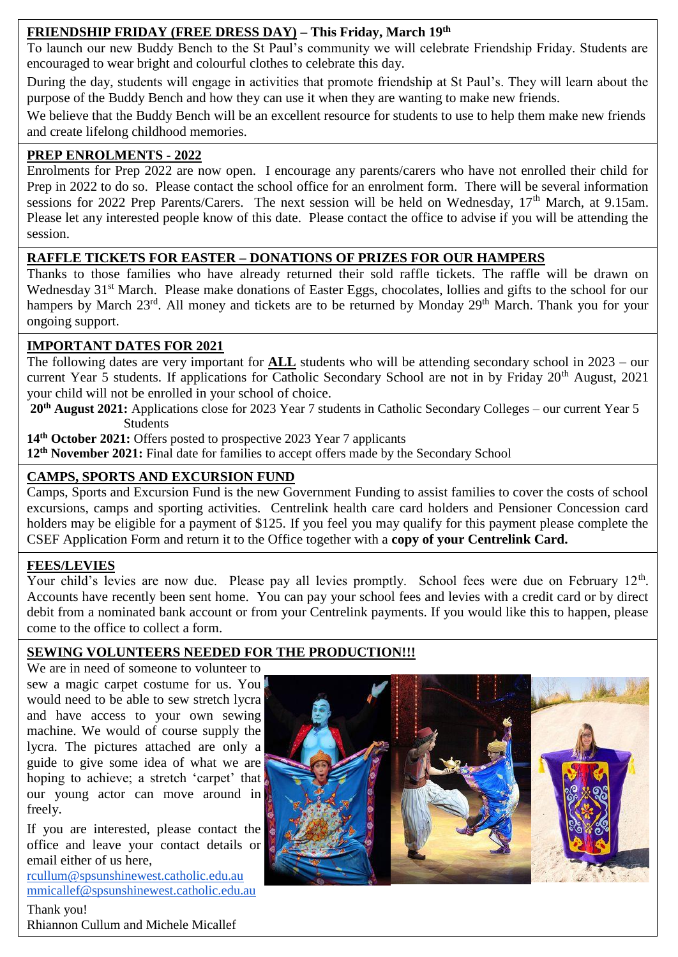# **FRIENDSHIP FRIDAY (FREE DRESS DAY) – This Friday, March 19th**

To launch our new Buddy Bench to the St Paul's community we will celebrate Friendship Friday. Students are encouraged to wear bright and colourful clothes to celebrate this day.

During the day, students will engage in activities that promote friendship at St Paul's. They will learn about the purpose of the Buddy Bench and how they can use it when they are wanting to make new friends.

We believe that the Buddy Bench will be an excellent resource for students to use to help them make new friends and create lifelong childhood memories.

#### **PREP ENROLMENTS - 2022**

Enrolments for Prep 2022 are now open. I encourage any parents/carers who have not enrolled their child for Prep in 2022 to do so. Please contact the school office for an enrolment form. There will be several information sessions for 2022 Prep Parents/Carers. The next session will be held on Wednesday, 17<sup>th</sup> March, at 9.15am. Please let any interested people know of this date. Please contact the office to advise if you will be attending the session.

## **RAFFLE TICKETS FOR EASTER – DONATIONS OF PRIZES FOR OUR HAMPERS**

Thanks to those families who have already returned their sold raffle tickets. The raffle will be drawn on Wednesday 31<sup>st</sup> March. Please make donations of Easter Eggs, chocolates, lollies and gifts to the school for our hampers by March 23<sup>rd</sup>. All money and tickets are to be returned by Monday 29<sup>th</sup> March. Thank you for your ongoing support.

## **IMPORTANT DATES FOR 2021**

The following dates are very important for **ALL** students who will be attending secondary school in 2023 – our news News, 5 students If small stings for Gathelia Secondary School are not in her Friday 20th Assess 2021. current Year 5 students. If applications for Catholic Secondary School are not in by Friday 20<sup>th</sup> August, 2021 your child will not be enrolled in your school of choice.

**20th August 2021:** Applications close for 2023 Year 7 students in Catholic Secondary Colleges – our current Year 5 **Students** 

**14th October 2021:** Offers posted to prospective 2023 Year 7 applicants

**12th November 2021:** Final date for families to accept offers made by the Secondary School

#### **CAMPS, SPORTS AND EXCURSION FUND**

 excursions, camps and sporting activities. Centrelink health care card holders and Pensioner Concession card Camps, Sports and Excursion Fund is the new Government Funding to assist families to cover the costs of school holders may be eligible for a payment of \$125. If you feel you may qualify for this payment please complete the CSEF Application Form and return it to the Office together with a **copy of your Centrelink Card.**

## **FEES/LEVIES**

Your child's levies are now due. Please pay all levies promptly. School fees were due on February 12<sup>th</sup>. Accounts have recently been sent home. You can pay your school fees and levies with a credit card or by direct debit from a nominated bank account or from your Centrelink payments. If you would like this to happen, please come to the office to collect a form.

#### **SEWING VOLUNTEERS NEEDED FOR THE PRODUCTION!!!**

We are in need of someone to volunteer to sew a magic carpet costume for us. You would need to be able to sew stretch lycra and have access to your own sewing machine. We would of course supply the lycra. The pictures attached are only a guide to give some idea of what we are hoping to achieve; a stretch 'carpet' that our young actor can move around in freely.

If you are interested, please contact the office and leave your contact details or email either of us here,

[rcullum@spsunshinewest.catholic.edu.au](mailto:rcullum@spsunshinewest.catholic.edu.au) [mmicallef@spsunshinewest.catholic.edu.au](mailto:mmicallef@spsunshinewest.catholic.edu.au)

Thank you! Rhiannon Cullum and Michele Micallef

(Arts Leaders) (Arts Leaders)